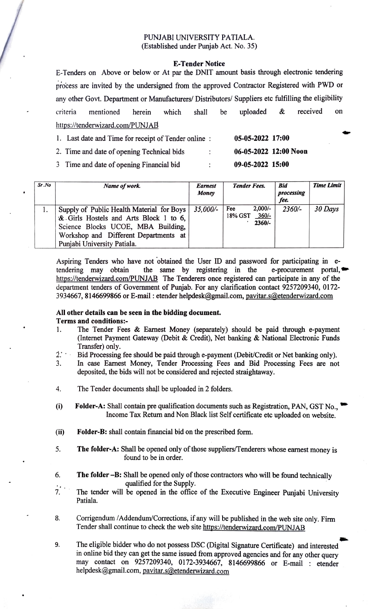### PUNJABI UNIVERSITY PATIALA. (Established under Punjab Act. No. 35)

#### E-Tender Notice

E-Tenders on Above or below or At par the DNIT amount basis through electronic tendering process are invited by the undersigned from the approved Contractor Registered with PWD or any other Govt. Department or Manufacturers/ Distributors/ Suppliers etc fulfilling the eligibility criteria mentioned herein which shall be uploaded & received on https://tenderwizard.com/PUNJAB

| 1. Last date and Time for receipt of Tender online: |                      | 05-05-2022 17:00      |  |
|-----------------------------------------------------|----------------------|-----------------------|--|
| 2. Time and date of opening Technical bids          | $\ddot{\phantom{0}}$ | 06-05-2022 12:00 Noon |  |
| 3 Time and date of opening Financial bid            | ٠                    | 09-05-2022 15:00      |  |

| Sr.No | Name of work.                                                                                                                                                                                     | <b>Earnest</b><br>Money | <b>Tender Fees.</b>                                | <b>Bid</b><br>processing<br>fee. | <b>Time Limit</b> |
|-------|---------------------------------------------------------------------------------------------------------------------------------------------------------------------------------------------------|-------------------------|----------------------------------------------------|----------------------------------|-------------------|
|       | Supply of Public Health Material for Boys<br>& Girls Hostels and Arts Block 1 to 6,<br>Science Blocks UCOE, MBA Building,<br>Workshop and Different Departments at<br>Punjabi University Patiala. | $35.000/-$              | $2,000/-$<br>Fee<br>$360/-$<br>18% GST<br>$2360/-$ | $2360/-$                         | 30 Days           |

Aspiring Tenders who have not obtained the User ID and password for participating in e tendering may obtain https://tenderwizard.com/PUNJAB The Tenderers once registered can participate in any of the department tenders of Government of Punjab. For any clarification contact 9257209340, 0172- 3934667, 8146699866 or E-mail : etender helpdesk@gmail.com, pavitar.s@etenderwizard.com the same by registering in the e-procurement portal, $\bullet$ 

#### All other details can be seen in the bidding document. Terms and conditions:

- The Tender Fees & Earnest Money (separately) should be paid through e-payment (Internet Payment Gateway (Debit & Credit), Net banking & National Electronic Funds Transfer) only. 1.
- Bid Processing fee should be paid through e-payment (Debit/Credit or Net banking only).  $2.1 -$
- In case Earnest Money, Tender Processing Fees and Bid Processing Fees are not deposited, the bids will not be considered and rejected straightaway. 3.
- 4. The Tender documents shall be uploaded in 2 folders.
- $(i)$ Folder-A: Shall contain pre qualification documents such as Registration, PAN, GST No., Income Tax Return and Non Black list Self certificate etc uploaded on website.
- ii) Folder-B: shall contain financial bid on the prescribed form.
- 5. The folder-A: Shall be opened only of those suppliers/Tenderers whose earnest money is found to be in order.
- 6. The folder-B: Shall be opened only of those contractors who will be found technically qualified for the Supply.
- . The tender will be opened in the office of the Executive Engineer Punjabi University Patiala.
- Corrigendum /Addendum/Corrections, if any will be published in the web site only. Firm Tender shall continue to check the web site https://tenderwizard.com/PUNJAB 8.
- The eligible bidder who do not possess DSC (Digital Signature Certificate) and interested in online bid they can get the same issued from approved agencies and for any other query may contact on 9257209340, 0172-3934667, 8146699866 or E-mail etender helpdesk@gmail.com, pavitar.s@etenderwizard.com 9.